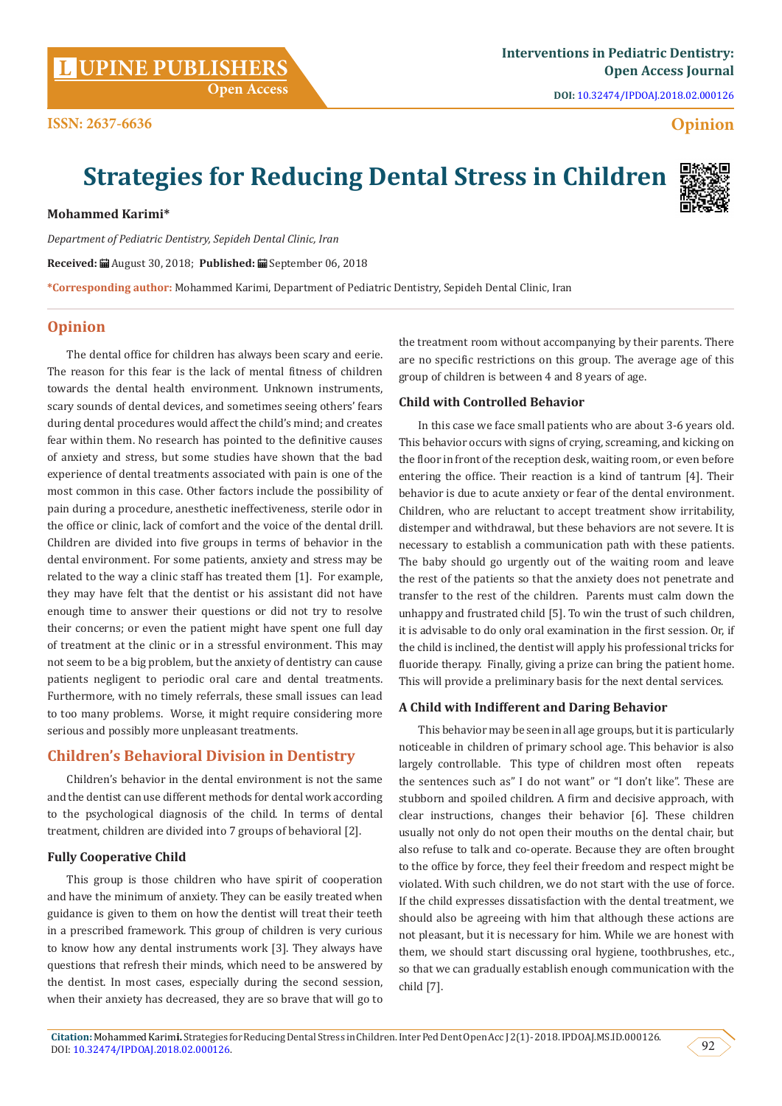**DOI:** [10.32474/IPDOAJ.2018.02.000126](http://dx.doi.org/10.32474/IPDOAJ.2018.02.000126)

# **Opinion**

# **Strategies for Reducing Dental Stress in Children**

**Mohammed Karimi\***

**ISSN: 2637-6636**

*Department of Pediatric Dentistry, Sepideh Dental Clinic, Iran* **Received:** August 30, 2018; **Published:** September 06, 2018 **\*Corresponding author:** Mohammed Karimi, Department of Pediatric Dentistry, Sepideh Dental Clinic, Iran

# **Opinion**

The dental office for children has always been scary and eerie. The reason for this fear is the lack of mental fitness of children towards the dental health environment. Unknown instruments, scary sounds of dental devices, and sometimes seeing others' fears during dental procedures would affect the child's mind; and creates fear within them. No research has pointed to the definitive causes of anxiety and stress, but some studies have shown that the bad experience of dental treatments associated with pain is one of the most common in this case. Other factors include the possibility of pain during a procedure, anesthetic ineffectiveness, sterile odor in the office or clinic, lack of comfort and the voice of the dental drill. Children are divided into five groups in terms of behavior in the dental environment. For some patients, anxiety and stress may be related to the way a clinic staff has treated them [1]. For example, they may have felt that the dentist or his assistant did not have enough time to answer their questions or did not try to resolve their concerns; or even the patient might have spent one full day of treatment at the clinic or in a stressful environment. This may not seem to be a big problem, but the anxiety of dentistry can cause patients negligent to periodic oral care and dental treatments. Furthermore, with no timely referrals, these small issues can lead to too many problems. Worse, it might require considering more serious and possibly more unpleasant treatments.

# **Children's Behavioral Division in Dentistry**

Children's behavior in the dental environment is not the same and the dentist can use different methods for dental work according to the psychological diagnosis of the child. In terms of dental treatment, children are divided into 7 groups of behavioral [2].

#### **Fully Cooperative Child**

This group is those children who have spirit of cooperation and have the minimum of anxiety. They can be easily treated when guidance is given to them on how the dentist will treat their teeth in a prescribed framework. This group of children is very curious to know how any dental instruments work [3]. They always have questions that refresh their minds, which need to be answered by the dentist. In most cases, especially during the second session, when their anxiety has decreased, they are so brave that will go to

the treatment room without accompanying by their parents. There are no specific restrictions on this group. The average age of this group of children is between 4 and 8 years of age.

## **Child with Controlled Behavior**

In this case we face small patients who are about 3-6 years old. This behavior occurs with signs of crying, screaming, and kicking on the floor in front of the reception desk, waiting room, or even before entering the office. Their reaction is a kind of tantrum [4]. Their behavior is due to acute anxiety or fear of the dental environment. Children, who are reluctant to accept treatment show irritability, distemper and withdrawal, but these behaviors are not severe. It is necessary to establish a communication path with these patients. The baby should go urgently out of the waiting room and leave the rest of the patients so that the anxiety does not penetrate and transfer to the rest of the children. Parents must calm down the unhappy and frustrated child [5]. To win the trust of such children, it is advisable to do only oral examination in the first session. Or, if the child is inclined, the dentist will apply his professional tricks for fluoride therapy. Finally, giving a prize can bring the patient home. This will provide a preliminary basis for the next dental services.

#### **A Child with Indifferent and Daring Behavior**

This behavior may be seen in all age groups, but it is particularly noticeable in children of primary school age. This behavior is also largely controllable. This type of children most often repeats the sentences such as" I do not want" or "I don't like". These are stubborn and spoiled children. A firm and decisive approach, with clear instructions, changes their behavior [6]. These children usually not only do not open their mouths on the dental chair, but also refuse to talk and co-operate. Because they are often brought to the office by force, they feel their freedom and respect might be violated. With such children, we do not start with the use of force. If the child expresses dissatisfaction with the dental treatment, we should also be agreeing with him that although these actions are not pleasant, but it is necessary for him. While we are honest with them, we should start discussing oral hygiene, toothbrushes, etc., so that we can gradually establish enough communication with the child [7].



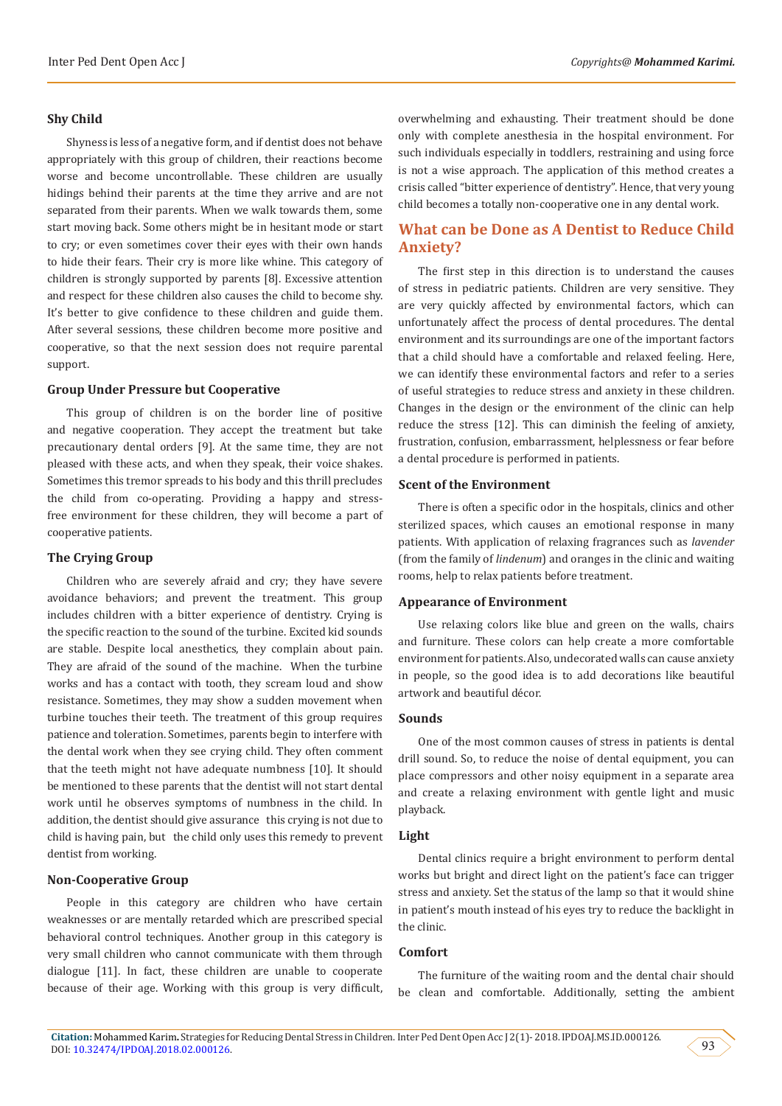#### **Shy Child**

Shyness is less of a negative form, and if dentist does not behave appropriately with this group of children, their reactions become worse and become uncontrollable. These children are usually hidings behind their parents at the time they arrive and are not separated from their parents. When we walk towards them, some start moving back. Some others might be in hesitant mode or start to cry; or even sometimes cover their eyes with their own hands to hide their fears. Their cry is more like whine. This category of children is strongly supported by parents [8]. Excessive attention and respect for these children also causes the child to become shy. It's better to give confidence to these children and guide them. After several sessions, these children become more positive and cooperative, so that the next session does not require parental support.

#### **Group Under Pressure but Cooperative**

This group of children is on the border line of positive and negative cooperation. They accept the treatment but take precautionary dental orders [9]. At the same time, they are not pleased with these acts, and when they speak, their voice shakes. Sometimes this tremor spreads to his body and this thrill precludes the child from co-operating. Providing a happy and stressfree environment for these children, they will become a part of cooperative patients.

#### **The Crying Group**

Children who are severely afraid and cry; they have severe avoidance behaviors; and prevent the treatment. This group includes children with a bitter experience of dentistry. Crying is the specific reaction to the sound of the turbine. Excited kid sounds are stable. Despite local anesthetics, they complain about pain. They are afraid of the sound of the machine. When the turbine works and has a contact with tooth, they scream loud and show resistance. Sometimes, they may show a sudden movement when turbine touches their teeth. The treatment of this group requires patience and toleration. Sometimes, parents begin to interfere with the dental work when they see crying child. They often comment that the teeth might not have adequate numbness [10]. It should be mentioned to these parents that the dentist will not start dental work until he observes symptoms of numbness in the child. In addition, the dentist should give assurance this crying is not due to child is having pain, but the child only uses this remedy to prevent dentist from working.

#### **Non-Cooperative Group**

People in this category are children who have certain weaknesses or are mentally retarded which are prescribed special behavioral control techniques. Another group in this category is very small children who cannot communicate with them through dialogue [11]. In fact, these children are unable to cooperate because of their age. Working with this group is very difficult, overwhelming and exhausting. Their treatment should be done only with complete anesthesia in the hospital environment. For such individuals especially in toddlers, restraining and using force is not a wise approach. The application of this method creates a crisis called "bitter experience of dentistry". Hence, that very young child becomes a totally non-cooperative one in any dental work.

# **What can be Done as A Dentist to Reduce Child Anxiety?**

The first step in this direction is to understand the causes of stress in pediatric patients. Children are very sensitive. They are very quickly affected by environmental factors, which can unfortunately affect the process of dental procedures. The dental environment and its surroundings are one of the important factors that a child should have a comfortable and relaxed feeling. Here, we can identify these environmental factors and refer to a series of useful strategies to reduce stress and anxiety in these children. Changes in the design or the environment of the clinic can help reduce the stress [12]. This can diminish the feeling of anxiety, frustration, confusion, embarrassment, helplessness or fear before a dental procedure is performed in patients.

#### **Scent of the Environment**

There is often a specific odor in the hospitals, clinics and other sterilized spaces, which causes an emotional response in many patients. With application of relaxing fragrances such as *lavender*  (from the family of *lindenum*) and oranges in the clinic and waiting rooms, help to relax patients before treatment.

#### **Appearance of Environment**

Use relaxing colors like blue and green on the walls, chairs and furniture. These colors can help create a more comfortable environment for patients. Also, undecorated walls can cause anxiety in people, so the good idea is to add decorations like beautiful artwork and beautiful décor.

#### **Sounds**

One of the most common causes of stress in patients is dental drill sound. So, to reduce the noise of dental equipment, you can place compressors and other noisy equipment in a separate area and create a relaxing environment with gentle light and music playback.

#### **Light**

Dental clinics require a bright environment to perform dental works but bright and direct light on the patient's face can trigger stress and anxiety. Set the status of the lamp so that it would shine in patient's mouth instead of his eyes try to reduce the backlight in the clinic.

#### **Comfort**

The furniture of the waiting room and the dental chair should be clean and comfortable. Additionally, setting the ambient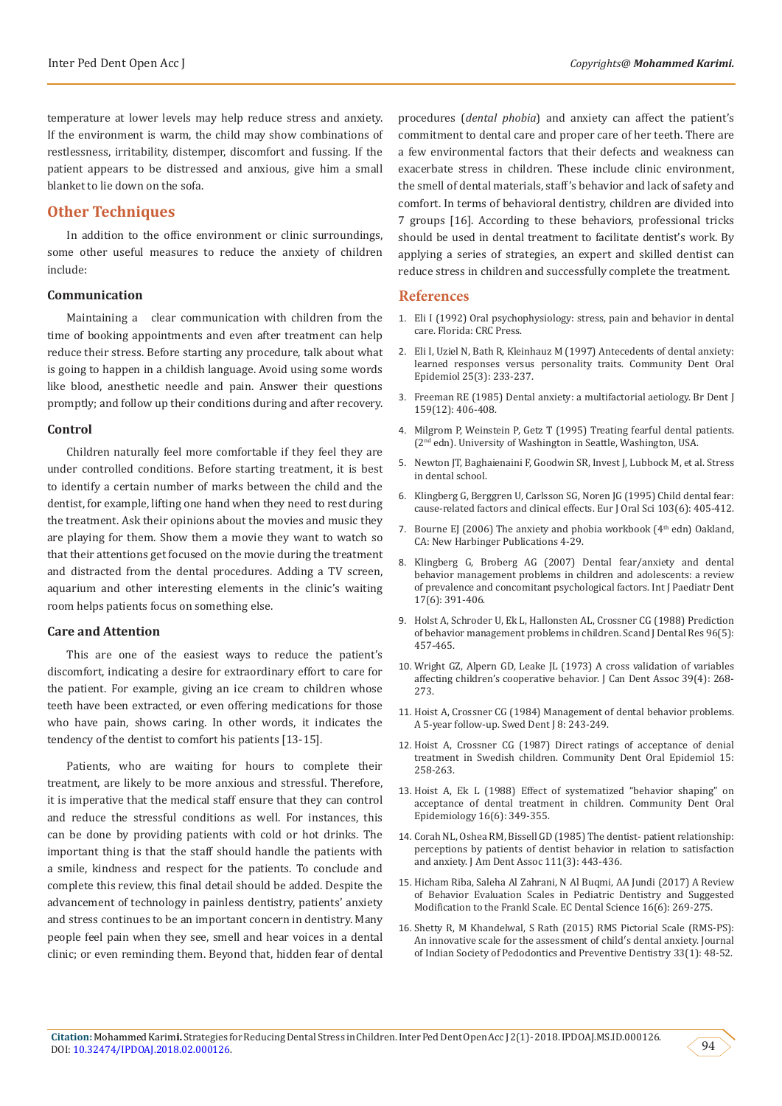temperature at lower levels may help reduce stress and anxiety. If the environment is warm, the child may show combinations of restlessness, irritability, distemper, discomfort and fussing. If the patient appears to be distressed and anxious, give him a small blanket to lie down on the sofa.

### **Other Techniques**

In addition to the office environment or clinic surroundings, some other useful measures to reduce the anxiety of children include:

#### **Communication**

Maintaining a clear communication with children from the time of booking appointments and even after treatment can help reduce their stress. Before starting any procedure, talk about what is going to happen in a childish language. Avoid using some words like blood, anesthetic needle and pain. Answer their questions promptly; and follow up their conditions during and after recovery.

#### **Control**

Children naturally feel more comfortable if they feel they are under controlled conditions. Before starting treatment, it is best to identify a certain number of marks between the child and the dentist, for example, lifting one hand when they need to rest during the treatment. Ask their opinions about the movies and music they are playing for them. Show them a movie they want to watch so that their attentions get focused on the movie during the treatment and distracted from the dental procedures. Adding a TV screen, aquarium and other interesting elements in the clinic's waiting room helps patients focus on something else.

#### **Care and Attention**

This are one of the easiest ways to reduce the patient's discomfort, indicating a desire for extraordinary effort to care for the patient. For example, giving an ice cream to children whose teeth have been extracted, or even offering medications for those who have pain, shows caring. In other words, it indicates the tendency of the dentist to comfort his patients [13-15].

Patients, who are waiting for hours to complete their treatment, are likely to be more anxious and stressful. Therefore, it is imperative that the medical staff ensure that they can control and reduce the stressful conditions as well. For instances, this can be done by providing patients with cold or hot drinks. The important thing is that the staff should handle the patients with a smile, kindness and respect for the patients. To conclude and complete this review, this final detail should be added. Despite the advancement of technology in painless dentistry, patients' anxiety and stress continues to be an important concern in dentistry. Many people feel pain when they see, smell and hear voices in a dental clinic; or even reminding them. Beyond that, hidden fear of dental

procedures (*dental phobia*) and anxiety can affect the patient's commitment to dental care and proper care of her teeth. There are a few environmental factors that their defects and weakness can exacerbate stress in children. These include clinic environment, the smell of dental materials, staff's behavior and lack of safety and comfort. In terms of behavioral dentistry, children are divided into 7 groups [16]. According to these behaviors, professional tricks should be used in dental treatment to facilitate dentist's work. By applying a series of strategies, an expert and skilled dentist can reduce stress in children and successfully complete the treatment.

#### **References**

- 1. [Eli I \(1992\) Oral psychophysiology: stress, pain and behavior in dental](http://www.scielo.br/scielo.php?script=sci_nlinks&ref=000083&pid=S0103-166X200500010000200003&lng=pt) [care. Florida: CRC Press.](http://www.scielo.br/scielo.php?script=sci_nlinks&ref=000083&pid=S0103-166X200500010000200003&lng=pt)
- 2. [Eli I, Uziel N, Bath R, Kleinhauz M \(1997\) Antecedents of dental anxiety:](https://www.ncbi.nlm.nih.gov/pubmed/9192153) [learned responses versus personality traits. Community Dent Oral](https://www.ncbi.nlm.nih.gov/pubmed/9192153) [Epidemiol 25\(3\): 233-237.](https://www.ncbi.nlm.nih.gov/pubmed/9192153)
- 3. [Freeman RE \(1985\) Dental anxiety: a multifactorial aetiology. Br Dent J](https://www.ncbi.nlm.nih.gov/pubmed/3866595) [159\(12\): 406-408.](https://www.ncbi.nlm.nih.gov/pubmed/3866595)
- 4. [Milgrom P, Weinstein P, Getz T \(1995\) Treating fearful dental patients.](https://www.joms.org/article/S0278-2391(97)90725-4/abstract) (2nd [edn\). University of Washington in Seattle, Washington, USA.](https://www.joms.org/article/S0278-2391(97)90725-4/abstract)
- 5. Newton JT, Baghaienaini F, Goodwin SR, Invest J, Lubbock M, et al. Stress in dental school.
- 6. [Klingberg G, Berggren U, Carlsson SG, Noren JG \(1995\) Child dental fear:](https://www.ncbi.nlm.nih.gov/pubmed/8747678) [cause-related factors and clinical effects. Eur J Oral Sci 103\(6\): 405-412.](https://www.ncbi.nlm.nih.gov/pubmed/8747678)
- 7. Bourne EJ (2006) The anxiety and phobia workbook ( $4<sup>th</sup>$  edn) Oakland, CA: New Harbinger Publications 4-29.
- 8. [Klingberg G, Broberg AG \(2007\) Dental fear/anxiety and dental](https://www.ncbi.nlm.nih.gov/pubmed/17935593) [behavior management problems in children and adolescents: a review](https://www.ncbi.nlm.nih.gov/pubmed/17935593) [of prevalence and concomitant psychological factors. Int J Paediatr Dent](https://www.ncbi.nlm.nih.gov/pubmed/17935593) [17\(6\): 391-406.](https://www.ncbi.nlm.nih.gov/pubmed/17935593)
- 9. [Holst A, Schroder U, Ek L, Hallonsten AL, Crossner CG \(1988\) Prediction](https://onlinelibrary.wiley.com/doi/pdf/10.1111/j.1600-0722.1988.tb01584.x) [of behavior management problems in children. Scand J Dental Res 96\(5\):](https://onlinelibrary.wiley.com/doi/pdf/10.1111/j.1600-0722.1988.tb01584.x) [457-465.](https://onlinelibrary.wiley.com/doi/pdf/10.1111/j.1600-0722.1988.tb01584.x)
- 10. [Wright GZ, Alpern GD, Leake JL \(1973\) A cross validation of variables](https://www.ncbi.nlm.nih.gov/pubmed/4266810) [affecting children's cooperative behavior. J Can Dent Assoc 39\(4\): 268-](https://www.ncbi.nlm.nih.gov/pubmed/4266810) [273.](https://www.ncbi.nlm.nih.gov/pubmed/4266810)
- 11. [Hoist A, Crossner CG \(1984\) Management of dental behavior problems.](http://europepmc.org/abstract/MED/6596759) [A 5-year follow-up. Swed Dent J 8: 243-249.](http://europepmc.org/abstract/MED/6596759)
- 12. Hoist A, Crossner CG (1987) Direct ratings of acceptance of denial treatment in Swedish children. Community Dent Oral Epidemiol 15: 258-263.
- 13. [Hoist A, Ek L \(1988\) Effect of systematized "behavior shaping" on](https://onlinelibrary.wiley.com/doi/abs/10.1111/j.1600-0528.1988.tb00580.x) [acceptance of dental treatment in children. Community Dent Oral](https://onlinelibrary.wiley.com/doi/abs/10.1111/j.1600-0528.1988.tb00580.x) [Epidemiology 16\(6\): 349-355.](https://onlinelibrary.wiley.com/doi/abs/10.1111/j.1600-0528.1988.tb00580.x)
- 14. [Corah NL, Oshea RM, Bissell GD \(1985\) The dentist- patient relationship:](https://www.ncbi.nlm.nih.gov/pubmed/3862704) [perceptions by patients of dentist behavior in relation to satisfaction](https://www.ncbi.nlm.nih.gov/pubmed/3862704) [and anxiety. J Am Dent Assoc 111\(3\): 443-436.](https://www.ncbi.nlm.nih.gov/pubmed/3862704)
- 15. [Hicham Riba, Saleha Al Zahrani, N Al Buqmi, AA Jundi \(2017\) A Review](https://www.ecronicon.com/ecde/pdf/ECDE-16-00574.pdf) [of Behavior Evaluation Scales in Pediatric Dentistry and Suggested](https://www.ecronicon.com/ecde/pdf/ECDE-16-00574.pdf) [Modification to the Frankl Scale. EC Dental Science 16\(6\): 269-275.](https://www.ecronicon.com/ecde/pdf/ECDE-16-00574.pdf)
- 16. [Shetty R, M Khandelwal, S Rath \(2015\) RMS Pictorial Scale \(RMS-PS\):](http://www.jisppd.com/article.asp?issn=0970-4388;year=2015;volume=33;issue=1;spage=48;epage=52;aulast=shetty) [An innovative scale for the assessment of child′s dental anxiety. Journal](http://www.jisppd.com/article.asp?issn=0970-4388;year=2015;volume=33;issue=1;spage=48;epage=52;aulast=shetty) [of Indian Society of Pedodontics and Preventive Dentistry 33\(1\): 48-52.](http://www.jisppd.com/article.asp?issn=0970-4388;year=2015;volume=33;issue=1;spage=48;epage=52;aulast=shetty)